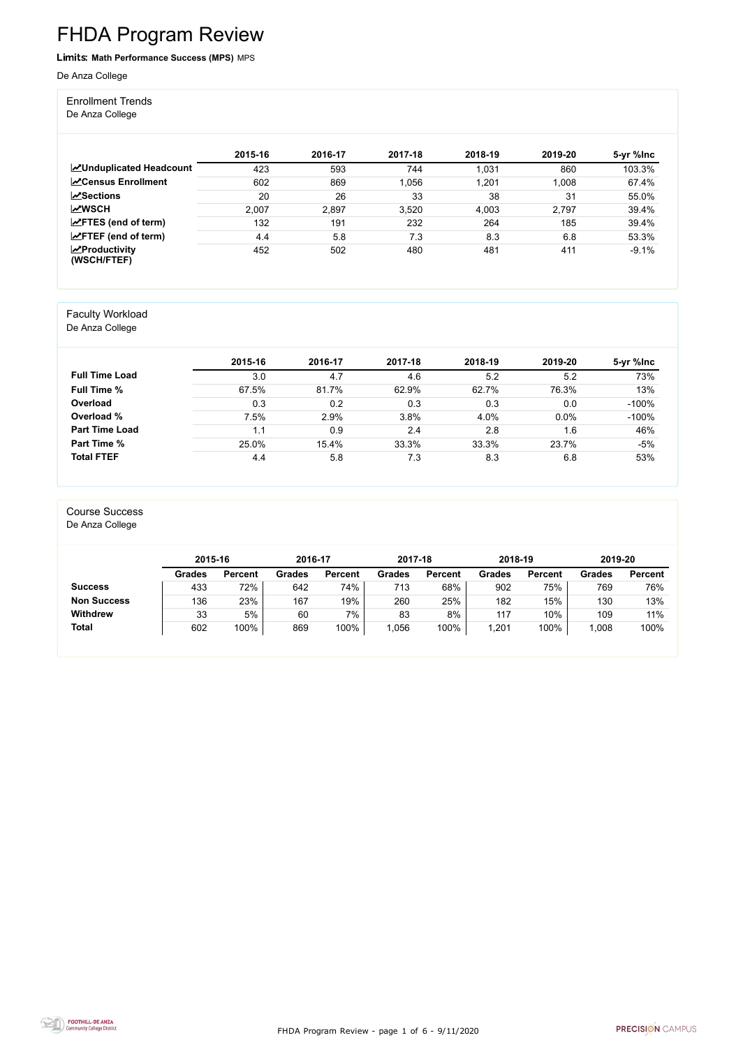FHDA Program Review - page 1 of 6 - 9/11/2020



# FHDA Program Review

#### Limits: **Math Performance Success (MPS)** MPS

De Anza College

Enrollment Trends

De Anza College

|                                                  | 2015-16 | 2016-17 | 2017-18 | 2018-19 | 2019-20 | 5-yr %lnc |
|--------------------------------------------------|---------|---------|---------|---------|---------|-----------|
| <b>MUnduplicated Headcount</b>                   | 423     | 593     | 744     | 1,031   | 860     | 103.3%    |
| <b>∠</b> Census Enrollment                       | 602     | 869     | 1,056   | 1,201   | 1,008   | 67.4%     |
| $\sqrt{S}$ ections                               | 20      | 26      | 33      | 38      | 31      | 55.0%     |
| <b>MWSCH</b>                                     | 2,007   | 2,897   | 3,520   | 4,003   | 2,797   | 39.4%     |
| $\angle$ FTES (end of term)                      | 132     | 191     | 232     | 264     | 185     | 39.4%     |
| $\angle$ FTEF (end of term)                      | 4.4     | 5.8     | 7.3     | 8.3     | 6.8     | 53.3%     |
| $\sqrt{\frac{1}{2}}$ Productivity<br>(WSCH/FTEF) | 452     | 502     | 480     | 481     | 411     | $-9.1%$   |

#### Faculty Workload

De Anza College

|                       | 2015-16 | 2016-17 | 2017-18 | 2018-19 | 2019-20 | 5-yr %lnc |
|-----------------------|---------|---------|---------|---------|---------|-----------|
| <b>Full Time Load</b> | 3.0     | 4.7     | 4.6     | 5.2     | 5.2     | 73%       |
| <b>Full Time %</b>    | 67.5%   | 81.7%   | 62.9%   | 62.7%   | 76.3%   | 13%       |
| <b>Overload</b>       | 0.3     | 0.2     | 0.3     | 0.3     | 0.0     | $-100%$   |
| Overload %            | 7.5%    | 2.9%    | 3.8%    | 4.0%    | 0.0%    | $-100%$   |
| <b>Part Time Load</b> | 1.1     | 0.9     | 2.4     | 2.8     | 1.6     | 46%       |
| <b>Part Time %</b>    | 25.0%   | 15.4%   | 33.3%   | 33.3%   | 23.7%   | -5%       |
| <b>Total FTEF</b>     | 4.4     | 5.8     | 7.3     | 8.3     | 6.8     | 53%       |

#### Course Success

De Anza College

|                    | 2015-16       |                | 2016-17       |                | 2017-18       |                | 2018-19       |                | 2019-20       |                |
|--------------------|---------------|----------------|---------------|----------------|---------------|----------------|---------------|----------------|---------------|----------------|
|                    | <b>Grades</b> | <b>Percent</b> | <b>Grades</b> | <b>Percent</b> | <b>Grades</b> | <b>Percent</b> | <b>Grades</b> | <b>Percent</b> | <b>Grades</b> | <b>Percent</b> |
| <b>Success</b>     | 433           | 72%            | 642           | 74%            | 713           | 68%            | 902           | 75%            | 769           | 76%            |
| <b>Non Success</b> | 136           | 23%            | 167           | 19%            | 260           | 25%            | 182           | 15%            | 130           | 13%            |
| <b>Withdrew</b>    | 33            | 5%             | 60            | 7%             | 83            | 8%             | 117           | 10%            | 109           | 11%            |
| <b>Total</b>       | 602           | 100%           | 869           | 100%           | 1,056         | 100%           | ,201          | 100%           | 1,008         | 100%           |

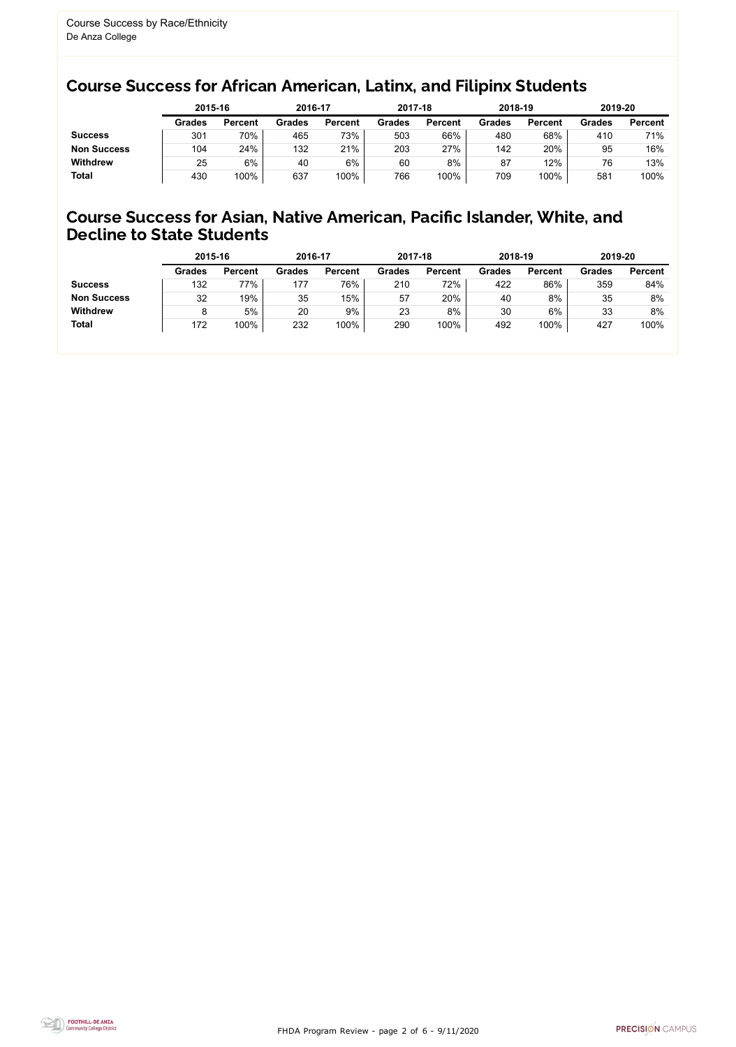FHDA Program Review - page 2 of 6 - 9/11/2020



#### Course Success for African American, Latinx, and Filipinx Students

#### Course Success for Asian, Native American, Pacific Islander, White, and Decline to State Students

|                    |               | 2015-16        |               | 2016-17        |               | 2017-18        | 2018-19       |                | 2019-20       |                |
|--------------------|---------------|----------------|---------------|----------------|---------------|----------------|---------------|----------------|---------------|----------------|
|                    | <b>Grades</b> | <b>Percent</b> | <b>Grades</b> | <b>Percent</b> | <b>Grades</b> | <b>Percent</b> | <b>Grades</b> | <b>Percent</b> | <b>Grades</b> | <b>Percent</b> |
| <b>Success</b>     | 301           | 70%            | 465           | 73%            | 503           | 66%            | 480           | 68%            | 410           | 71%            |
| <b>Non Success</b> | 104           | 24%            | 132           | 21%            | 203           | 27%            | 142           | 20%            | 95            | 16%            |
| <b>Withdrew</b>    | 25            | 6%             | 40            | 6%             | 60            | 8%             | 87            | 12%            | 76            | 13%            |
| <b>Total</b>       | 430           | 100%           | 637           | 100%           | 766           | 100%           | 709           | 100%           | 581           | 100%           |

|                    | 2015-16       |                | 2016-17       |                | 2017-18       |                | 2018-19       |                | 2019-20       |                |
|--------------------|---------------|----------------|---------------|----------------|---------------|----------------|---------------|----------------|---------------|----------------|
|                    | <b>Grades</b> | <b>Percent</b> | <b>Grades</b> | <b>Percent</b> | <b>Grades</b> | <b>Percent</b> | <b>Grades</b> | <b>Percent</b> | <b>Grades</b> | <b>Percent</b> |
| <b>Success</b>     | 132           | 77%            | 177           | 76%            | 210           | 72%            | 422           | 86%            | 359           | 84%            |
| <b>Non Success</b> | 32            | 19%            | 35            | 15%            | 57            | 20%            | 40            | 8%             | 35            | 8%             |
| <b>Withdrew</b>    |               | 5%             | 20            | 9%             | 23            | 8%             | 30            | $6\%$          | 33            | 8%             |
| <b>Total</b>       | 172           | 100%           | 232           | 100%           | 290           | 100%           | 492           | 100%           | 427           | 100%           |
|                    |               |                |               |                |               |                |               |                |               |                |

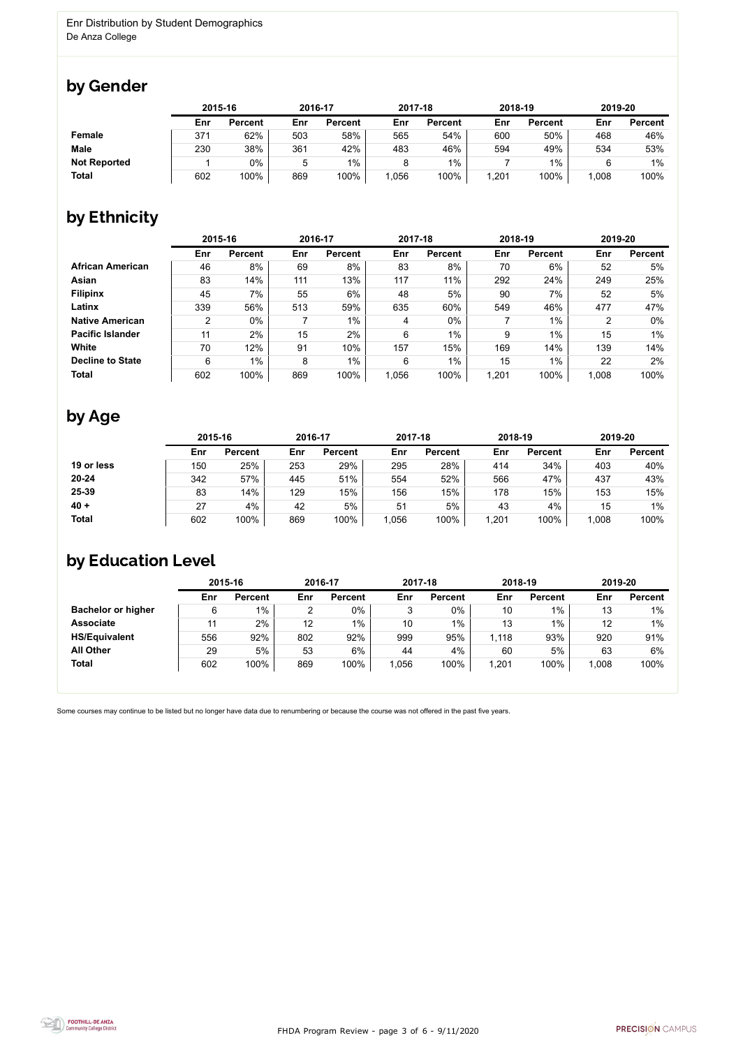

Some courses may continue to be listed but no longer have data due to renumbering or because the course was not offered in the past five years.



#### by Gender

|                     | 2015-16 |                |     | 2016-17        |      | 2017-18        |       | 2018-19        |       | 2019-20        |  |
|---------------------|---------|----------------|-----|----------------|------|----------------|-------|----------------|-------|----------------|--|
|                     | Enr     | <b>Percent</b> | Enr | <b>Percent</b> | Enr  | <b>Percent</b> | Enr   | <b>Percent</b> | Enr   | <b>Percent</b> |  |
| <b>Female</b>       | 371     | 62%            | 503 | 58%            | 565  | 54%            | 600   | 50%            | 468   | 46%            |  |
| <b>Male</b>         | 230     | 38%            | 361 | 42%            | 483  | 46%            | 594   | 49%            | 534   | 53%            |  |
| <b>Not Reported</b> |         | 0%             |     | $1\%$          |      | $1\%$          |       | $1\%$          |       | $1\%$          |  |
| <b>Total</b>        | 602     | 100%           | 869 | 100%           | ,056 | 100%           | 1,201 | 100%           | 1,008 | 100%           |  |

## by Ethnicity

|                         |     | 2015-16        |     | 2016-17        |       | 2017-18        | 2018-19 |                | 2019-20 |                |
|-------------------------|-----|----------------|-----|----------------|-------|----------------|---------|----------------|---------|----------------|
|                         | Enr | <b>Percent</b> | Enr | <b>Percent</b> | Enr   | <b>Percent</b> | Enr     | <b>Percent</b> | Enr     | <b>Percent</b> |
| <b>African American</b> | 46  | 8%             | 69  | 8%             | 83    | 8%             | 70      | 6%             | 52      | 5%             |
| <b>Asian</b>            | 83  | 14%            | 111 | 13%            | 117   | 11%            | 292     | 24%            | 249     | 25%            |
| <b>Filipinx</b>         | 45  | $7\%$          | 55  | 6%             | 48    | 5%             | 90      | 7%             | 52      | 5%             |
| Latinx                  | 339 | 56%            | 513 | 59%            | 635   | 60%            | 549     | 46%            | 477     | 47%            |
| <b>Native American</b>  | ົ   | 0%             |     | $1\%$          | 4     | $0\%$          |         | $1\%$          | ⌒       | $0\%$          |
| <b>Pacific Islander</b> | 11  | 2%             | 15  | 2%             | 6     | $1\%$          | 9       | $1\%$          | 15      | $1\%$          |
| <b>White</b>            | 70  | 12%            | 91  | 10%            | 157   | 15%            | 169     | 14%            | 139     | 14%            |
| <b>Decline to State</b> | 6   | $1\%$          | 8   | $1\%$          | 6     | $1\%$          | 15      | $1\%$          | 22      | 2%             |
| <b>Total</b>            | 602 | 100%           | 869 | 100%           | 1,056 | 100%           | 1,201   | 100%           | 1,008   | 100%           |

#### by Age

|              |     | 2015-16        |     | 2016-17        |      | 2017-18        | 2018-19 |                | 2019-20 |                |
|--------------|-----|----------------|-----|----------------|------|----------------|---------|----------------|---------|----------------|
|              | Enr | <b>Percent</b> | Enr | <b>Percent</b> | Enr  | <b>Percent</b> | Enr     | <b>Percent</b> | Enr     | <b>Percent</b> |
| 19 or less   | 150 | 25%            | 253 | 29%            | 295  | 28%            | 414     | 34%            | 403     | 40%            |
| $20 - 24$    | 342 | 57%            | 445 | 51%            | 554  | 52%            | 566     | 47%            | 437     | 43%            |
| 25-39        | 83  | 14%            | 129 | 15%            | 156  | 15%            | 178     | 15%            | 153     | 15%            |
| $40 +$       | 27  | 4%             | 42  | 5%             | 51   | 5%             | 43      | 4%             | 15      | $1\%$          |
| <b>Total</b> | 602 | 100%           | 869 | 100%           | ,056 | 100%           | 1,201   | 100%           | 1,008   | 100%           |

## by Education Level

|                           | 2015-16 |                |     | 2016-17        |      | 2017-18        | 2018-19 |                | 2019-20 |                |
|---------------------------|---------|----------------|-----|----------------|------|----------------|---------|----------------|---------|----------------|
|                           | Enr     | <b>Percent</b> | Enr | <b>Percent</b> | Enr  | <b>Percent</b> | Enr     | <b>Percent</b> | Enr     | <b>Percent</b> |
| <b>Bachelor or higher</b> | 6       | $1\%$          | ົ   | 0%             | 3    | 0%             | 10      | $1\%$          | 13      | $1\%$          |
| <b>Associate</b>          | 11      | 2%             | 12  | $1\%$          | 10   | $1\%$          | 13      | $1\%$          | 12      | $1\%$          |
| <b>HS/Equivalent</b>      | 556     | 92%            | 802 | 92%            | 999  | 95%            | 1,118   | 93%            | 920     | 91%            |
| <b>All Other</b>          | 29      | 5%             | 53  | 6%             | 44   | 4%             | 60      | 5%             | 63      | 6%             |
| <b>Total</b>              | 602     | 100%           | 869 | 100%           | ,056 | 100%           | 1,201   | 100%           | 1,008   | 100%           |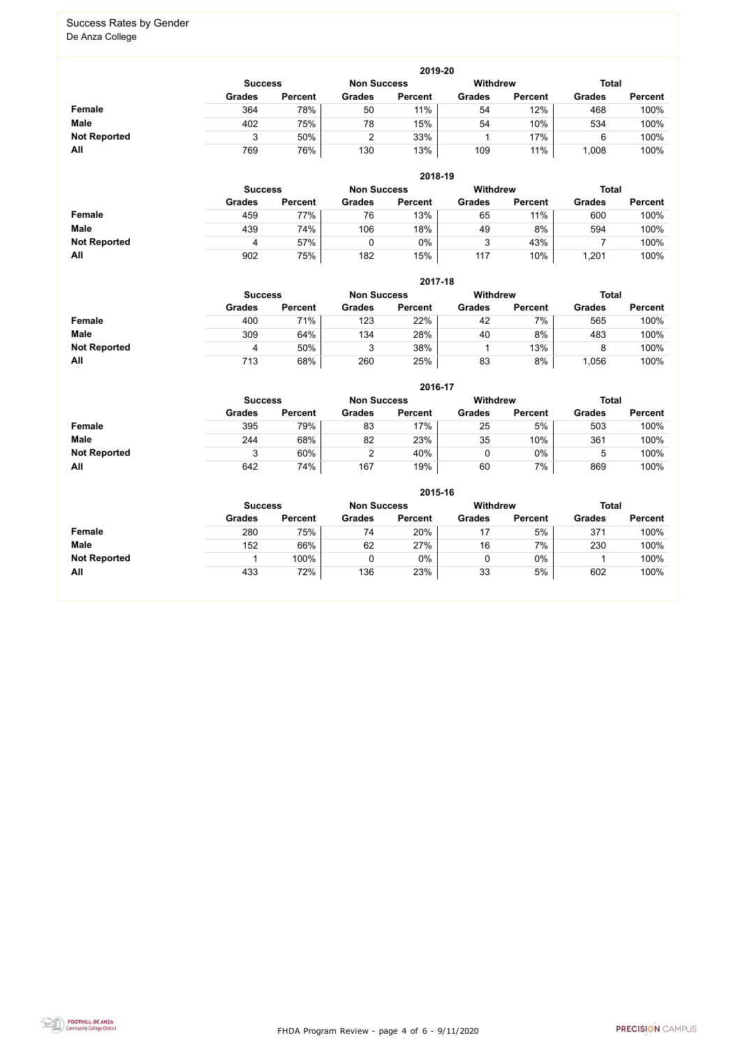FHDA Program Review - page 4 of 6 - 9/11/2020



#### Success Rates by Gender De Anza College

|                     | 2019-20        |                |               |                |               |                |               |                |  |  |  |  |  |
|---------------------|----------------|----------------|---------------|----------------|---------------|----------------|---------------|----------------|--|--|--|--|--|
|                     | <b>Success</b> |                | <b>Total</b>  |                |               |                |               |                |  |  |  |  |  |
|                     | <b>Grades</b>  | <b>Percent</b> | <b>Grades</b> | <b>Percent</b> | <b>Grades</b> | <b>Percent</b> | <b>Grades</b> | <b>Percent</b> |  |  |  |  |  |
| <b>Female</b>       | 364            | 78%            | 50            | 11%            | 54            | 12%            | 468           | 100%           |  |  |  |  |  |
| <b>Male</b>         | 402            | 75%            | 78            | 15%            | 54            | 10%            | 534           | 100%           |  |  |  |  |  |
| <b>Not Reported</b> |                | 50%            | ◠             | 33%            |               | 17%            | 6             | 100%           |  |  |  |  |  |
| All                 | 769            | 76%            | 130           | 13%            | 109           | 11%            | ,008          | 100%           |  |  |  |  |  |

|                     |                | 2018-19        |                    |                |                 |                |               |                |  |  |  |  |  |  |
|---------------------|----------------|----------------|--------------------|----------------|-----------------|----------------|---------------|----------------|--|--|--|--|--|--|
|                     | <b>Success</b> |                | <b>Non Success</b> |                | <b>Withdrew</b> |                |               | <b>Total</b>   |  |  |  |  |  |  |
|                     | <b>Grades</b>  | <b>Percent</b> | <b>Grades</b>      | <b>Percent</b> | <b>Grades</b>   | <b>Percent</b> | <b>Grades</b> | <b>Percent</b> |  |  |  |  |  |  |
| Female              | 459            | 77%            | 76                 | 13%            | 65              | 11%            | 600           | 100%           |  |  |  |  |  |  |
| <b>Male</b>         | 439            | 74%            | 106                | 18%            | 49              | 8%             | 594           | 100%           |  |  |  |  |  |  |
| <b>Not Reported</b> | 4              | 57%            |                    | 0%             | າ<br>ບ          | 43%            |               | 100%           |  |  |  |  |  |  |
| All                 | 902            | 75%            | 182                | 15%            | 117             | 10%            | 1,201         | 100%           |  |  |  |  |  |  |

|                     |               | 2017-18                              |               |                |               |                |               |                |  |  |  |  |  |  |
|---------------------|---------------|--------------------------------------|---------------|----------------|---------------|----------------|---------------|----------------|--|--|--|--|--|--|
|                     |               | <b>Non Success</b><br><b>Success</b> |               |                |               |                | <b>Total</b>  |                |  |  |  |  |  |  |
|                     | <b>Grades</b> | <b>Percent</b>                       | <b>Grades</b> | <b>Percent</b> | <b>Grades</b> | <b>Percent</b> | <b>Grades</b> | <b>Percent</b> |  |  |  |  |  |  |
| <b>Female</b>       | 400           | 71%                                  | 123           | 22%            | 42            | 7%             | 565           | 100%           |  |  |  |  |  |  |
| <b>Male</b>         | 309           | 64%                                  | 134           | 28%            | 40            | 8%             | 483           | 100%           |  |  |  |  |  |  |
| <b>Not Reported</b> | 4             | 50%                                  | 3             | 38%            |               | 13%            | 8             | 100%           |  |  |  |  |  |  |
| All                 | 713           | 68%                                  | 260           | 25%            | 83            | 8%             | ,056          | 100%           |  |  |  |  |  |  |

|                     |               |                |               | 2016-17        |                 |                |               |                |
|---------------------|---------------|----------------|---------------|----------------|-----------------|----------------|---------------|----------------|
|                     |               | <b>Success</b> |               |                | <b>Withdrew</b> |                | <b>Total</b>  |                |
|                     | <b>Grades</b> | <b>Percent</b> | <b>Grades</b> | <b>Percent</b> | <b>Grades</b>   | <b>Percent</b> | <b>Grades</b> | <b>Percent</b> |
| Female              | 395           | 79%            | 83            | 17%            | 25              | 5%             | 503           | 100%           |
| <b>Male</b>         | 244           | 68%            | 82            | 23%            | 35              | 10%            | 361           | 100%           |
| <b>Not Reported</b> | 3             | 60%            |               | 40%            |                 | $0\%$          |               | 100%           |
| All                 | 642           | 74%            | 167           | 19%            | 60              | 7%             | 869           | 100%           |

|                     | 2015-16        |                |                    |                |                 |                |               |                |  |
|---------------------|----------------|----------------|--------------------|----------------|-----------------|----------------|---------------|----------------|--|
|                     | <b>Success</b> |                | <b>Non Success</b> |                | <b>Withdrew</b> |                | <b>Total</b>  |                |  |
|                     | <b>Grades</b>  | <b>Percent</b> | <b>Grades</b>      | <b>Percent</b> | <b>Grades</b>   | <b>Percent</b> | <b>Grades</b> | <b>Percent</b> |  |
| <b>Female</b>       | 280            | 75%            | 74                 | 20%            | 17              | 5%             | 371           | 100%           |  |
| <b>Male</b>         | 152            | 66%            | 62                 | 27%            | 16              | 7%             | 230           | 100%           |  |
| <b>Not Reported</b> |                | 100%           | $\mathbf 0$        | 0%             | 0               | $0\%$          |               | 100%           |  |
| All                 | 433            | 72%            | 136                | 23%            | 33              | 5%             | 602           | 100%           |  |

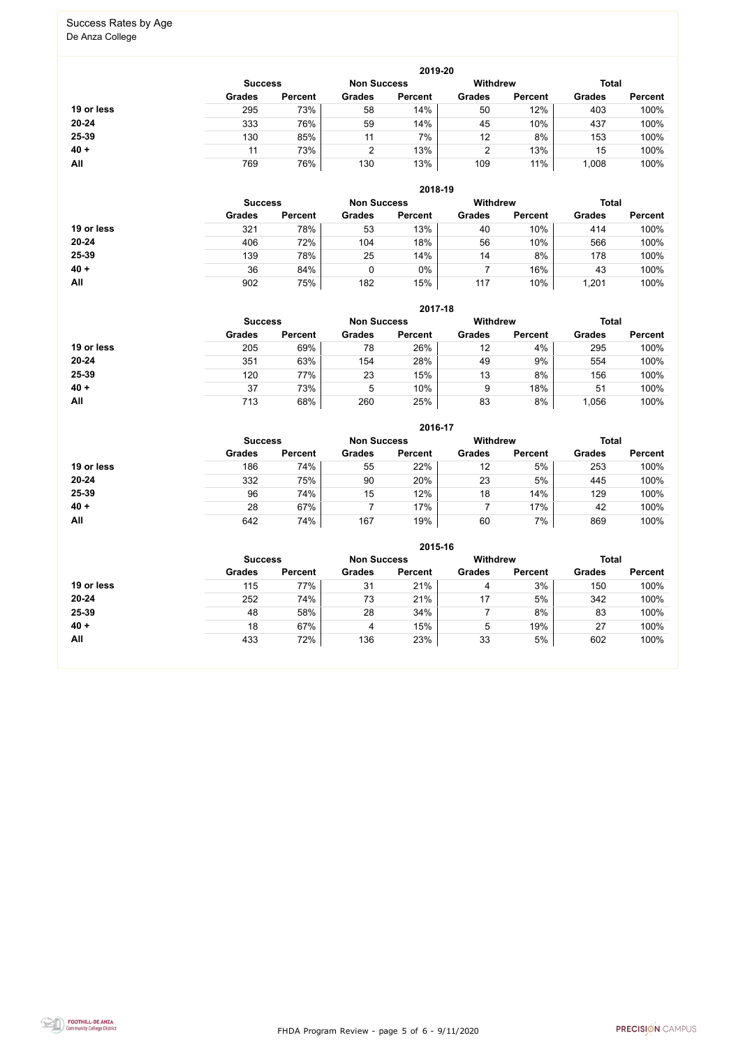FHDA Program Review - page 5 of 6 - 9/11/2020



# Success Rates by Age

De Anza College

|            |                |                    |               | 2019-20         |               |                |               |                |
|------------|----------------|--------------------|---------------|-----------------|---------------|----------------|---------------|----------------|
|            | <b>Success</b> | <b>Non Success</b> |               | <b>Withdrew</b> |               | <b>Total</b>   |               |                |
|            | <b>Grades</b>  | <b>Percent</b>     | <b>Grades</b> | <b>Percent</b>  | <b>Grades</b> | <b>Percent</b> | <b>Grades</b> | <b>Percent</b> |
| 19 or less | 295            | 73%                | 58            | 14%             | 50            | 12%            | 403           | 100%           |
| $20 - 24$  | 333            | 76%                | 59            | 14%             | 45            | 10%            | 437           | 100%           |
| 25-39      | 130            | 85%                | 11            | 7%              | 12            | 8%             | 153           | 100%           |
| $40 +$     |                | 73%                | $\mathcal{D}$ | 13%             | 2             | 13%            | 15            | 100%           |
| All        | 769            | 76%                | 130           | 13%             | 109           | 11%            | 1,008         | 100%           |

|            |                |                    |               | 2018-19         |               |                |               |                |
|------------|----------------|--------------------|---------------|-----------------|---------------|----------------|---------------|----------------|
|            | <b>Success</b> | <b>Non Success</b> |               | <b>Withdrew</b> |               | <b>Total</b>   |               |                |
|            | <b>Grades</b>  | <b>Percent</b>     | <b>Grades</b> | <b>Percent</b>  | <b>Grades</b> | <b>Percent</b> | <b>Grades</b> | <b>Percent</b> |
| 19 or less | 321            | 78%                | 53            | 13%             | 40            | 10%            | 414           | 100%           |
| 20-24      | 406            | 72%                | 104           | 18%             | 56            | 10%            | 566           | 100%           |
| 25-39      | 139            | 78%                | 25            | 14%             | 14            | 8%             | 178           | 100%           |
| $40 +$     | 36             | 84%                | 0             | 0%              |               | 16%            | 43            | 100%           |
| All        | 902            | 75%                | 182           | 15%             | 117           | 10%            | ,201          | 100%           |

|            |                |                |               | 2017-18            |                 |                |               |                |
|------------|----------------|----------------|---------------|--------------------|-----------------|----------------|---------------|----------------|
|            | <b>Success</b> |                |               | <b>Non Success</b> | <b>Withdrew</b> |                | <b>Total</b>  |                |
|            | <b>Grades</b>  | <b>Percent</b> | <b>Grades</b> | <b>Percent</b>     | <b>Grades</b>   | <b>Percent</b> | <b>Grades</b> | <b>Percent</b> |
| 19 or less | 205            | 69%            | 78            | 26%                | 12              | 4%             | 295           | 100%           |
| $20 - 24$  | 351            | 63%            | 154           | 28%                | 49              | 9%             | 554           | 100%           |
| 25-39      | 120            | 77%            | 23            | 15%                | 13              | 8%             | 156           | 100%           |
| $40 +$     | 37             | 73%            | 5             | 10%                | 9               | 18%            | 51            | 100%           |
| All        | 713            | 68%            | 260           | 25%                | 83              | 8%             | ,056          | 100%           |

|            |                |                    |               | 2016-17         |               |                |               |                |
|------------|----------------|--------------------|---------------|-----------------|---------------|----------------|---------------|----------------|
|            | <b>Success</b> | <b>Non Success</b> |               | <b>Withdrew</b> |               | <b>Total</b>   |               |                |
|            | <b>Grades</b>  | <b>Percent</b>     | <b>Grades</b> | <b>Percent</b>  | <b>Grades</b> | <b>Percent</b> | <b>Grades</b> | <b>Percent</b> |
| 19 or less | 186            | 74%                | 55            | 22%             | 12            | 5%             | 253           | 100%           |
| $20 - 24$  | 332            | 75%                | 90            | 20%             | 23            | 5%             | 445           | 100%           |
| 25-39      | 96             | 74%                | 15            | 12%             | 18            | 14%            | 129           | 100%           |
| $40 +$     | 28             | 67%                |               | 17%             |               | 17%            | 42            | 100%           |
| <b>All</b> | 642            | 74%                | 167           | 19%             | 60            | 7%             | 869           | 100%           |

|            |                                      |                |               | 2015-16        |                 |                |               |                |
|------------|--------------------------------------|----------------|---------------|----------------|-----------------|----------------|---------------|----------------|
|            | <b>Non Success</b><br><b>Success</b> |                |               |                | <b>Withdrew</b> |                | <b>Total</b>  |                |
|            | <b>Grades</b>                        | <b>Percent</b> | <b>Grades</b> | <b>Percent</b> | <b>Grades</b>   | <b>Percent</b> | <b>Grades</b> | <b>Percent</b> |
| 19 or less | 115                                  | 77%            | 31            | 21%            | 4               | 3%             | 150           | 100%           |
| $20 - 24$  | 252                                  | 74%            | 73            | 21%            | 17              | 5%             | 342           | 100%           |
| 25-39      | 48                                   | 58%            | 28            | 34%            |                 | 8%             | 83            | 100%           |
| $40 +$     | 18                                   | 67%            | 4             | 15%            | 5               | 19%            | 27            | 100%           |
| All        | 433                                  | 72%            | 136           | 23%            | 33              | 5%             | 602           | 100%           |